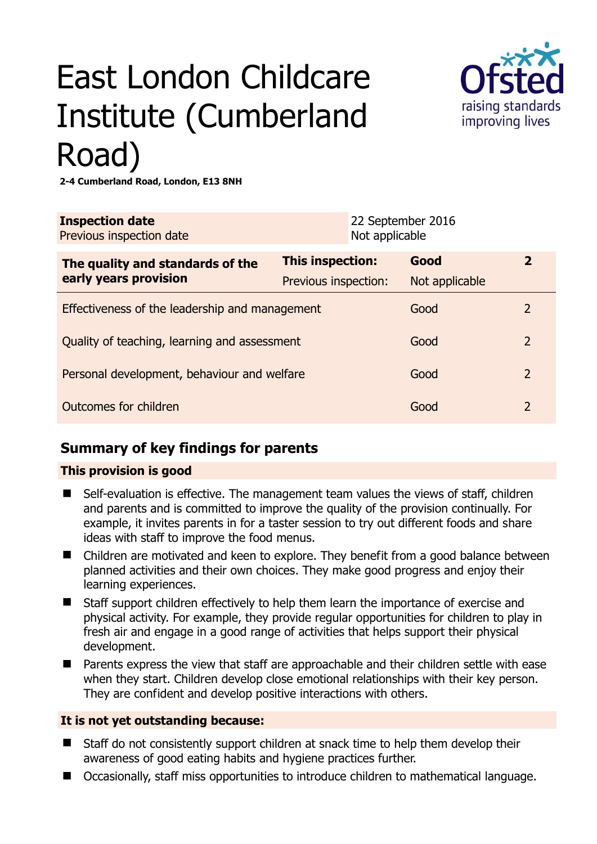# East London Childcare Institute (Cumberland Road)



**2-4 Cumberland Road, London, E13 8NH** 

| <b>Inspection date</b><br>Previous inspection date        | Not applicable          | 22 September 2016 |                |
|-----------------------------------------------------------|-------------------------|-------------------|----------------|
| The quality and standards of the<br>early years provision | <b>This inspection:</b> | Good              | $\overline{2}$ |
|                                                           | Previous inspection:    | Not applicable    |                |
| Effectiveness of the leadership and management            |                         | Good              | $\overline{2}$ |
| Quality of teaching, learning and assessment              |                         | Good              | $\overline{2}$ |
| Personal development, behaviour and welfare               |                         | Good              | $\overline{2}$ |
| Outcomes for children                                     |                         | Good              | $\overline{2}$ |

# **Summary of key findings for parents**

## **This provision is good**

- Self-evaluation is effective. The management team values the views of staff, children and parents and is committed to improve the quality of the provision continually. For example, it invites parents in for a taster session to try out different foods and share ideas with staff to improve the food menus.
- Children are motivated and keen to explore. They benefit from a good balance between planned activities and their own choices. They make good progress and enjoy their learning experiences.
- Staff support children effectively to help them learn the importance of exercise and physical activity. For example, they provide regular opportunities for children to play in fresh air and engage in a good range of activities that helps support their physical development.
- Parents express the view that staff are approachable and their children settle with ease when they start. Children develop close emotional relationships with their key person. They are confident and develop positive interactions with others.

## **It is not yet outstanding because:**

- Staff do not consistently support children at snack time to help them develop their awareness of good eating habits and hygiene practices further.
- Occasionally, staff miss opportunities to introduce children to mathematical language.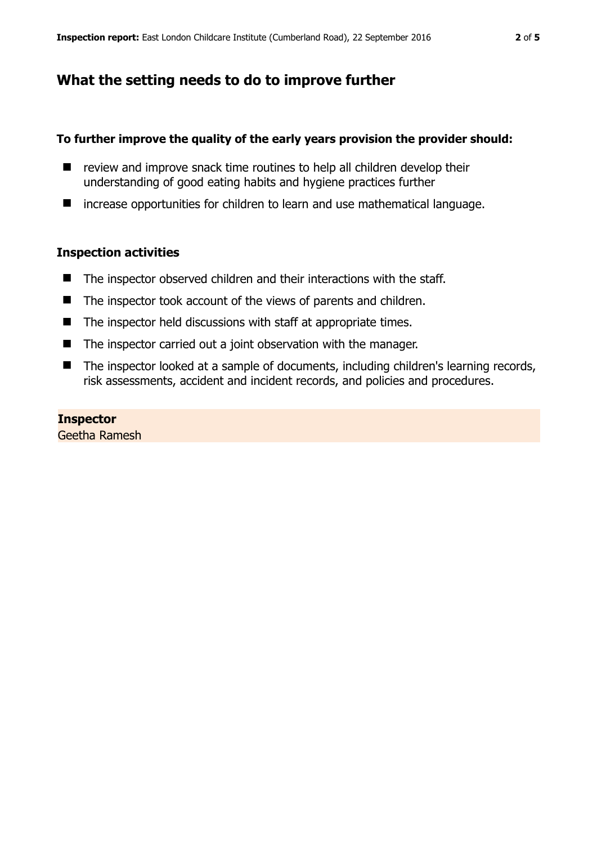# **What the setting needs to do to improve further**

#### **To further improve the quality of the early years provision the provider should:**

- $\blacksquare$  review and improve snack time routines to help all children develop their understanding of good eating habits and hygiene practices further
- increase opportunities for children to learn and use mathematical language.

### **Inspection activities**

- The inspector observed children and their interactions with the staff.
- The inspector took account of the views of parents and children.
- $\blacksquare$  The inspector held discussions with staff at appropriate times.
- The inspector carried out a joint observation with the manager.
- The inspector looked at a sample of documents, including children's learning records, risk assessments, accident and incident records, and policies and procedures.

#### **Inspector**

Geetha Ramesh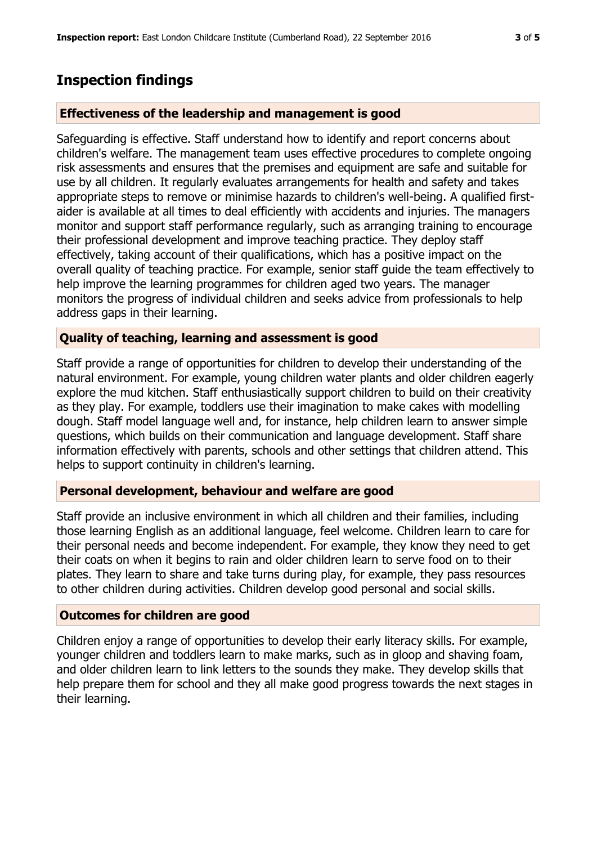## **Inspection findings**

#### **Effectiveness of the leadership and management is good**

Safeguarding is effective. Staff understand how to identify and report concerns about children's welfare. The management team uses effective procedures to complete ongoing risk assessments and ensures that the premises and equipment are safe and suitable for use by all children. It regularly evaluates arrangements for health and safety and takes appropriate steps to remove or minimise hazards to children's well-being. A qualified firstaider is available at all times to deal efficiently with accidents and injuries. The managers monitor and support staff performance regularly, such as arranging training to encourage their professional development and improve teaching practice. They deploy staff effectively, taking account of their qualifications, which has a positive impact on the overall quality of teaching practice. For example, senior staff guide the team effectively to help improve the learning programmes for children aged two years. The manager monitors the progress of individual children and seeks advice from professionals to help address gaps in their learning.

#### **Quality of teaching, learning and assessment is good**

Staff provide a range of opportunities for children to develop their understanding of the natural environment. For example, young children water plants and older children eagerly explore the mud kitchen. Staff enthusiastically support children to build on their creativity as they play. For example, toddlers use their imagination to make cakes with modelling dough. Staff model language well and, for instance, help children learn to answer simple questions, which builds on their communication and language development. Staff share information effectively with parents, schools and other settings that children attend. This helps to support continuity in children's learning.

#### **Personal development, behaviour and welfare are good**

Staff provide an inclusive environment in which all children and their families, including those learning English as an additional language, feel welcome. Children learn to care for their personal needs and become independent. For example, they know they need to get their coats on when it begins to rain and older children learn to serve food on to their plates. They learn to share and take turns during play, for example, they pass resources to other children during activities. Children develop good personal and social skills.

#### **Outcomes for children are good**

Children enjoy a range of opportunities to develop their early literacy skills. For example, younger children and toddlers learn to make marks, such as in gloop and shaving foam, and older children learn to link letters to the sounds they make. They develop skills that help prepare them for school and they all make good progress towards the next stages in their learning.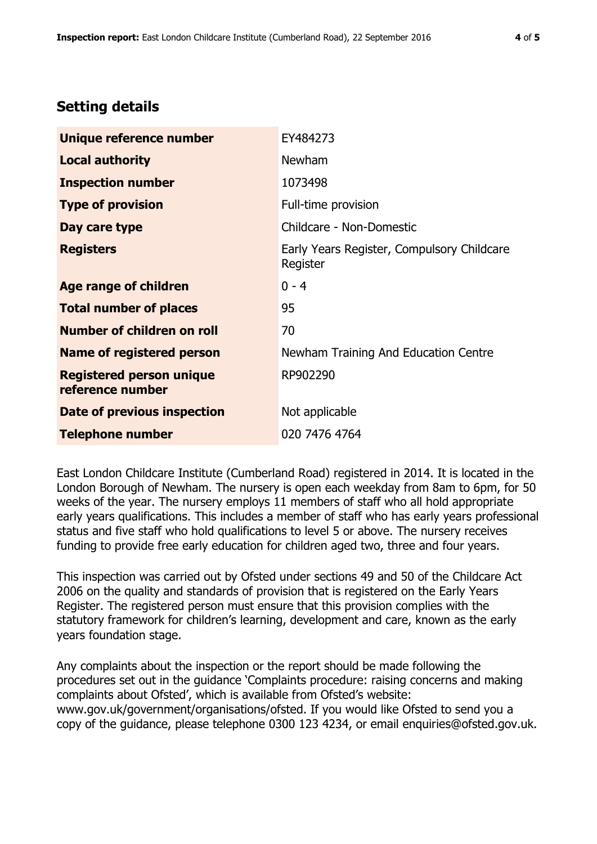# **Setting details**

| Unique reference number                             | EY484273                                               |  |
|-----------------------------------------------------|--------------------------------------------------------|--|
| <b>Local authority</b>                              | <b>Newham</b>                                          |  |
| <b>Inspection number</b>                            | 1073498                                                |  |
| <b>Type of provision</b>                            | Full-time provision                                    |  |
| Day care type                                       | Childcare - Non-Domestic                               |  |
| <b>Registers</b>                                    | Early Years Register, Compulsory Childcare<br>Register |  |
| Age range of children                               | $0 - 4$                                                |  |
| <b>Total number of places</b>                       | 95                                                     |  |
| Number of children on roll                          | 70                                                     |  |
| Name of registered person                           | Newham Training And Education Centre                   |  |
| <b>Registered person unique</b><br>reference number | RP902290                                               |  |
| Date of previous inspection                         | Not applicable                                         |  |
| <b>Telephone number</b>                             | 020 7476 4764                                          |  |

East London Childcare Institute (Cumberland Road) registered in 2014. It is located in the London Borough of Newham. The nursery is open each weekday from 8am to 6pm, for 50 weeks of the year. The nursery employs 11 members of staff who all hold appropriate early years qualifications. This includes a member of staff who has early years professional status and five staff who hold qualifications to level 5 or above. The nursery receives funding to provide free early education for children aged two, three and four years.

This inspection was carried out by Ofsted under sections 49 and 50 of the Childcare Act 2006 on the quality and standards of provision that is registered on the Early Years Register. The registered person must ensure that this provision complies with the statutory framework for children's learning, development and care, known as the early years foundation stage.

Any complaints about the inspection or the report should be made following the procedures set out in the guidance 'Complaints procedure: raising concerns and making complaints about Ofsted', which is available from Ofsted's website: www.gov.uk/government/organisations/ofsted. If you would like Ofsted to send you a copy of the guidance, please telephone 0300 123 4234, or email enquiries@ofsted.gov.uk.